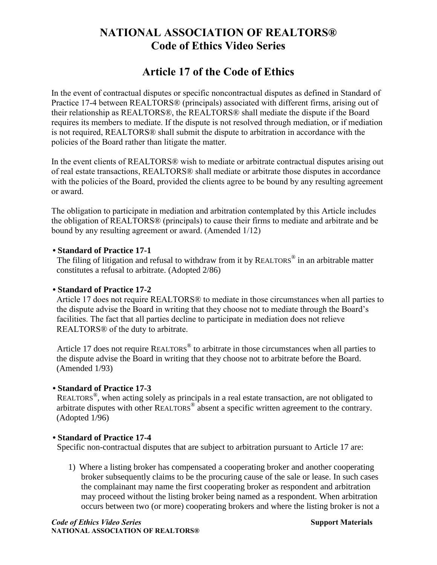# **NATIONAL ASSOCIATION OF REALTORS® Code of Ethics Video Series**

## **Article 17 of the Code of Ethics**

In the event of contractual disputes or specific noncontractual disputes as defined in Standard of Practice 17-4 between REALTORS® (principals) associated with different firms, arising out of their relationship as REALTORS®, the REALTORS® shall mediate the dispute if the Board requires its members to mediate. If the dispute is not resolved through mediation, or if mediation is not required, REALTORS® shall submit the dispute to arbitration in accordance with the policies of the Board rather than litigate the matter.

In the event clients of REALTORS® wish to mediate or arbitrate contractual disputes arising out of real estate transactions, REALTORS® shall mediate or arbitrate those disputes in accordance with the policies of the Board, provided the clients agree to be bound by any resulting agreement or award.

The obligation to participate in mediation and arbitration contemplated by this Article includes the obligation of REALTORS® (principals) to cause their firms to mediate and arbitrate and be bound by any resulting agreement or award. (Amended 1/12)

#### **• Standard of Practice 17-1**

The filing of litigation and refusal to withdraw from it by REALTORS<sup>®</sup> in an arbitrable matter constitutes a refusal to arbitrate. (Adopted 2/86)

#### **• Standard of Practice 17-2**

Article 17 does not require REALTORS® to mediate in those circumstances when all parties to the dispute advise the Board in writing that they choose not to mediate through the Board's facilities. The fact that all parties decline to participate in mediation does not relieve REALTORS® of the duty to arbitrate.

Article 17 does not require REALTORS<sup>®</sup> to arbitrate in those circumstances when all parties to the dispute advise the Board in writing that they choose not to arbitrate before the Board. (Amended 1/93)

#### **• Standard of Practice 17-3**

REALTORS<sup>®</sup>, when acting solely as principals in a real estate transaction, are not obligated to arbitrate disputes with other REALTORS<sup>®</sup> absent a specific written agreement to the contrary. (Adopted 1/96)

#### **• Standard of Practice 17-4**

Specific non-contractual disputes that are subject to arbitration pursuant to Article 17 are:

1) Where a listing broker has compensated a cooperating broker and another cooperating broker subsequently claims to be the procuring cause of the sale or lease. In such cases the complainant may name the first cooperating broker as respondent and arbitration may proceed without the listing broker being named as a respondent. When arbitration occurs between two (or more) cooperating brokers and where the listing broker is not a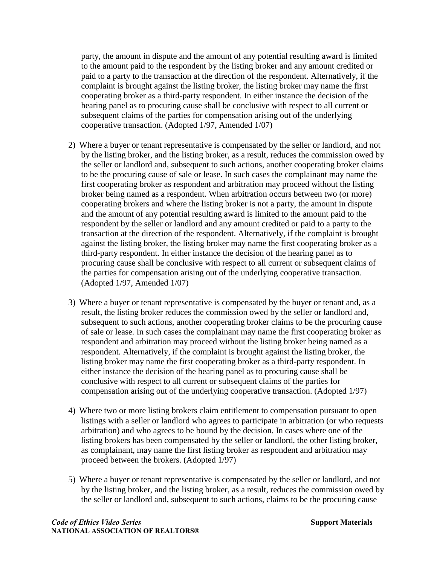party, the amount in dispute and the amount of any potential resulting award is limited to the amount paid to the respondent by the listing broker and any amount credited or paid to a party to the transaction at the direction of the respondent. Alternatively, if the complaint is brought against the listing broker, the listing broker may name the first cooperating broker as a third-party respondent. In either instance the decision of the hearing panel as to procuring cause shall be conclusive with respect to all current or subsequent claims of the parties for compensation arising out of the underlying cooperative transaction. (Adopted 1/97, Amended 1/07)

- 2) Where a buyer or tenant representative is compensated by the seller or landlord, and not by the listing broker, and the listing broker, as a result, reduces the commission owed by the seller or landlord and, subsequent to such actions, another cooperating broker claims to be the procuring cause of sale or lease. In such cases the complainant may name the first cooperating broker as respondent and arbitration may proceed without the listing broker being named as a respondent. When arbitration occurs between two (or more) cooperating brokers and where the listing broker is not a party, the amount in dispute and the amount of any potential resulting award is limited to the amount paid to the respondent by the seller or landlord and any amount credited or paid to a party to the transaction at the direction of the respondent. Alternatively, if the complaint is brought against the listing broker, the listing broker may name the first cooperating broker as a third-party respondent. In either instance the decision of the hearing panel as to procuring cause shall be conclusive with respect to all current or subsequent claims of the parties for compensation arising out of the underlying cooperative transaction. (Adopted 1/97, Amended 1/07)
- 3) Where a buyer or tenant representative is compensated by the buyer or tenant and, as a result, the listing broker reduces the commission owed by the seller or landlord and, subsequent to such actions, another cooperating broker claims to be the procuring cause of sale or lease. In such cases the complainant may name the first cooperating broker as respondent and arbitration may proceed without the listing broker being named as a respondent. Alternatively, if the complaint is brought against the listing broker, the listing broker may name the first cooperating broker as a third-party respondent. In either instance the decision of the hearing panel as to procuring cause shall be conclusive with respect to all current or subsequent claims of the parties for compensation arising out of the underlying cooperative transaction. (Adopted 1/97)
- 4) Where two or more listing brokers claim entitlement to compensation pursuant to open listings with a seller or landlord who agrees to participate in arbitration (or who requests arbitration) and who agrees to be bound by the decision. In cases where one of the listing brokers has been compensated by the seller or landlord, the other listing broker, as complainant, may name the first listing broker as respondent and arbitration may proceed between the brokers. (Adopted 1/97)
- 5) Where a buyer or tenant representative is compensated by the seller or landlord, and not by the listing broker, and the listing broker, as a result, reduces the commission owed by the seller or landlord and, subsequent to such actions, claims to be the procuring cause